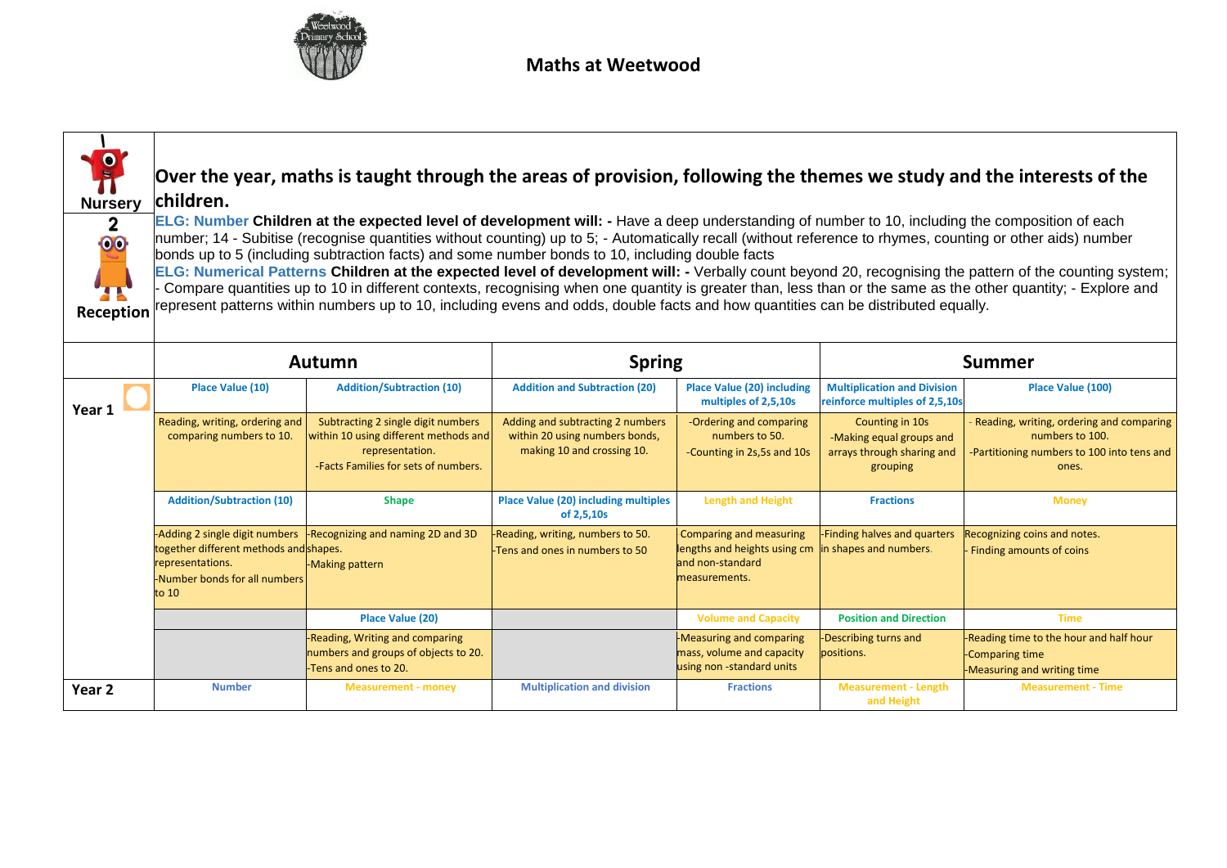

| <b>Nursery</b><br>$\mathbf{2}$<br>00<br>Reception | Over the year, maths is taught through the areas of provision, following the themes we study and the interests of the<br>children.<br>ELG: Number Children at the expected level of development will: - Have a deep understanding of number to 10, including the composition of each<br>number; 14 - Subitise (recognise quantities without counting) up to 5; - Automatically recall (without reference to rhymes, counting or other aids) number<br>bonds up to 5 (including subtraction facts) and some number bonds to 10, including double facts<br>ELG: Numerical Patterns Children at the expected level of development will: - Verbally count beyond 20, recognising the pattern of the counting system;<br>Compare quantities up to 10 in different contexts, recognising when one quantity is greater than, less than or the same as the other quantity; - Explore and<br>represent patterns within numbers up to 10, including evens and odds, double facts and how quantities can be distributed equally. |                                                                                                                                        |                                                                                                  |                                                                                                                     |                                                                                       |                                                                                                                    |  |
|---------------------------------------------------|-----------------------------------------------------------------------------------------------------------------------------------------------------------------------------------------------------------------------------------------------------------------------------------------------------------------------------------------------------------------------------------------------------------------------------------------------------------------------------------------------------------------------------------------------------------------------------------------------------------------------------------------------------------------------------------------------------------------------------------------------------------------------------------------------------------------------------------------------------------------------------------------------------------------------------------------------------------------------------------------------------------------------|----------------------------------------------------------------------------------------------------------------------------------------|--------------------------------------------------------------------------------------------------|---------------------------------------------------------------------------------------------------------------------|---------------------------------------------------------------------------------------|--------------------------------------------------------------------------------------------------------------------|--|
|                                                   | <b>Spring</b><br>Autumn                                                                                                                                                                                                                                                                                                                                                                                                                                                                                                                                                                                                                                                                                                                                                                                                                                                                                                                                                                                               |                                                                                                                                        |                                                                                                  |                                                                                                                     | <b>Summer</b>                                                                         |                                                                                                                    |  |
| Year 1                                            | Place Value (10)                                                                                                                                                                                                                                                                                                                                                                                                                                                                                                                                                                                                                                                                                                                                                                                                                                                                                                                                                                                                      | <b>Addition/Subtraction (10)</b>                                                                                                       | <b>Addition and Subtraction (20)</b>                                                             | <b>Place Value (20) including</b><br>multiples of 2,5,10s                                                           | <b>Multiplication and Division</b><br>reinforce multiples of 2,5,10s                  | Place Value (100)                                                                                                  |  |
|                                                   | Reading, writing, ordering and<br>comparing numbers to 10.                                                                                                                                                                                                                                                                                                                                                                                                                                                                                                                                                                                                                                                                                                                                                                                                                                                                                                                                                            | Subtracting 2 single digit numbers<br>within 10 using different methods and<br>representation.<br>-Facts Families for sets of numbers. | Adding and subtracting 2 numbers<br>within 20 using numbers bonds,<br>making 10 and crossing 10. | -Ordering and comparing<br>numbers to 50.<br>-Counting in 2s,5s and 10s                                             | Counting in 10s<br>-Making equal groups and<br>arrays through sharing and<br>grouping | Reading, writing, ordering and comparing<br>numbers to 100.<br>-Partitioning numbers to 100 into tens and<br>ones. |  |
|                                                   | <b>Addition/Subtraction (10)</b>                                                                                                                                                                                                                                                                                                                                                                                                                                                                                                                                                                                                                                                                                                                                                                                                                                                                                                                                                                                      | <b>Shape</b>                                                                                                                           | <b>Place Value (20) including multiples</b><br>of 2,5,10s                                        | <b>Length and Height</b>                                                                                            | <b>Fractions</b>                                                                      | <b>Money</b>                                                                                                       |  |
|                                                   | -Adding 2 single digit numbers<br>together different methods and shapes.<br>representations.<br>-Number bonds for all numbers<br>to 10                                                                                                                                                                                                                                                                                                                                                                                                                                                                                                                                                                                                                                                                                                                                                                                                                                                                                | -Recognizing and naming 2D and 3D<br>-Making pattern                                                                                   | -Reading, writing, numbers to 50.<br>Tens and ones in numbers to 50                              | Comparing and measuring<br>lengths and heights using cm in shapes and numbers.<br>and non-standard<br>measurements. | -Finding halves and quarters                                                          | Recognizing coins and notes.<br>Finding amounts of coins                                                           |  |
|                                                   |                                                                                                                                                                                                                                                                                                                                                                                                                                                                                                                                                                                                                                                                                                                                                                                                                                                                                                                                                                                                                       | Place Value (20)                                                                                                                       |                                                                                                  | <b>Volume and Capacity</b>                                                                                          | <b>Position and Direction</b>                                                         | <b>Time</b>                                                                                                        |  |
|                                                   |                                                                                                                                                                                                                                                                                                                                                                                                                                                                                                                                                                                                                                                                                                                                                                                                                                                                                                                                                                                                                       | -Reading, Writing and comparing<br>numbers and groups of objects to 20.<br>-Tens and ones to 20.                                       |                                                                                                  | -Measuring and comparing<br>mass, volume and capacity<br>using non-standard units                                   | -Describing turns and<br>positions.                                                   | -Reading time to the hour and half hour<br>-Comparing time<br>-Measuring and writing time                          |  |
| Year <sub>2</sub>                                 | <b>Number</b>                                                                                                                                                                                                                                                                                                                                                                                                                                                                                                                                                                                                                                                                                                                                                                                                                                                                                                                                                                                                         | <b>Measurement - money</b>                                                                                                             | <b>Multiplication and division</b>                                                               | <b>Fractions</b>                                                                                                    | <b>Measurement - Length</b><br>and Height                                             | <b>Measurement - Time</b>                                                                                          |  |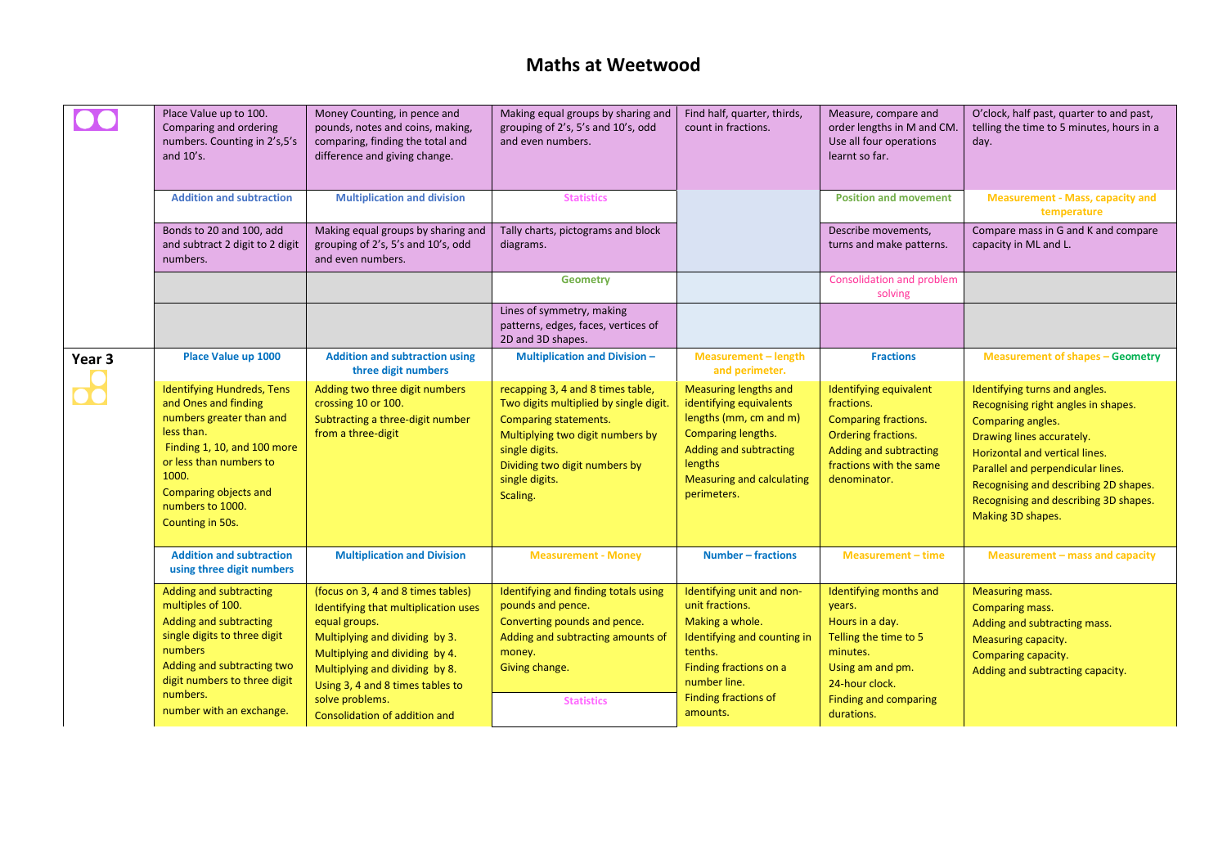|                   | Place Value up to 100.<br>Comparing and ordering<br>numbers. Counting in 2's,5's<br>and 10's.                                                                                                                                           | Money Counting, in pence and<br>pounds, notes and coins, making,<br>comparing, finding the total and<br>difference and giving change.                                                                                                                                                     | Making equal groups by sharing and<br>grouping of 2's, 5's and 10's, odd<br>and even numbers.                                                                                                                                    | Find half, quarter, thirds,<br>count in fractions.                                                                                                                                              | Measure, compare and<br>order lengths in M and CM.<br>Use all four operations<br>learnt so far.                                                                              | O'clock, half past, quarter to and past,<br>telling the time to 5 minutes, hours in a<br>day.                                                                                                                                                                                                        |
|-------------------|-----------------------------------------------------------------------------------------------------------------------------------------------------------------------------------------------------------------------------------------|-------------------------------------------------------------------------------------------------------------------------------------------------------------------------------------------------------------------------------------------------------------------------------------------|----------------------------------------------------------------------------------------------------------------------------------------------------------------------------------------------------------------------------------|-------------------------------------------------------------------------------------------------------------------------------------------------------------------------------------------------|------------------------------------------------------------------------------------------------------------------------------------------------------------------------------|------------------------------------------------------------------------------------------------------------------------------------------------------------------------------------------------------------------------------------------------------------------------------------------------------|
|                   | <b>Addition and subtraction</b>                                                                                                                                                                                                         | <b>Multiplication and division</b>                                                                                                                                                                                                                                                        | <b>Statistics</b>                                                                                                                                                                                                                |                                                                                                                                                                                                 | <b>Position and movement</b>                                                                                                                                                 | <b>Measurement - Mass, capacity and</b><br>temperature                                                                                                                                                                                                                                               |
|                   | Bonds to 20 and 100, add<br>and subtract 2 digit to 2 digit<br>numbers.                                                                                                                                                                 | Making equal groups by sharing and<br>grouping of 2's, 5's and 10's, odd<br>and even numbers.                                                                                                                                                                                             | Tally charts, pictograms and block<br>diagrams.                                                                                                                                                                                  |                                                                                                                                                                                                 | Describe movements,<br>turns and make patterns.                                                                                                                              | Compare mass in G and K and compare<br>capacity in ML and L.                                                                                                                                                                                                                                         |
|                   |                                                                                                                                                                                                                                         |                                                                                                                                                                                                                                                                                           | <b>Geometry</b>                                                                                                                                                                                                                  |                                                                                                                                                                                                 | Consolidation and problem<br>solving                                                                                                                                         |                                                                                                                                                                                                                                                                                                      |
|                   |                                                                                                                                                                                                                                         |                                                                                                                                                                                                                                                                                           | Lines of symmetry, making<br>patterns, edges, faces, vertices of<br>2D and 3D shapes.                                                                                                                                            |                                                                                                                                                                                                 |                                                                                                                                                                              |                                                                                                                                                                                                                                                                                                      |
| Year <sub>3</sub> | Place Value up 1000                                                                                                                                                                                                                     | <b>Addition and subtraction using</b><br>three digit numbers                                                                                                                                                                                                                              | <b>Multiplication and Division-</b>                                                                                                                                                                                              | <b>Measurement - length</b><br>and perimeter.                                                                                                                                                   | <b>Fractions</b>                                                                                                                                                             | <b>Measurement of shapes - Geometry</b>                                                                                                                                                                                                                                                              |
|                   | <b>Identifying Hundreds, Tens</b><br>and Ones and finding<br>numbers greater than and<br>less than.<br>Finding 1, 10, and 100 more<br>or less than numbers to<br>1000.<br>Comparing objects and<br>numbers to 1000.<br>Counting in 50s. | Adding two three digit numbers<br>crossing 10 or 100.<br>Subtracting a three-digit number<br>from a three-digit                                                                                                                                                                           | recapping 3, 4 and 8 times table,<br>Two digits multiplied by single digit.<br><b>Comparing statements.</b><br>Multiplying two digit numbers by<br>single digits.<br>Dividing two digit numbers by<br>single digits.<br>Scaling. | <b>Measuring lengths and</b><br>identifying equivalents<br>lengths (mm, cm and m)<br>Comparing lengths.<br>Adding and subtracting<br>lengths<br><b>Measuring and calculating</b><br>perimeters. | Identifying equivalent<br>fractions.<br><b>Comparing fractions.</b><br>Ordering fractions.<br>Adding and subtracting<br>fractions with the same<br>denominator.              | Identifying turns and angles.<br>Recognising right angles in shapes.<br>Comparing angles.<br>Drawing lines accurately.<br>Horizontal and vertical lines.<br>Parallel and perpendicular lines.<br>Recognising and describing 2D shapes.<br>Recognising and describing 3D shapes.<br>Making 3D shapes. |
|                   | <b>Addition and subtraction</b><br>using three digit numbers                                                                                                                                                                            | <b>Multiplication and Division</b>                                                                                                                                                                                                                                                        | <b>Measurement - Money</b>                                                                                                                                                                                                       | <b>Number - fractions</b>                                                                                                                                                                       | <b>Measurement - time</b>                                                                                                                                                    | Measurement - mass and capacity                                                                                                                                                                                                                                                                      |
|                   | Adding and subtracting<br>multiples of 100.<br>Adding and subtracting<br>single digits to three digit<br>numbers<br>Adding and subtracting two<br>digit numbers to three digit<br>numbers.<br>number with an exchange.                  | (focus on 3, 4 and 8 times tables)<br>Identifying that multiplication uses<br>equal groups.<br>Multiplying and dividing by 3.<br>Multiplying and dividing by 4.<br>Multiplying and dividing by 8.<br>Using 3, 4 and 8 times tables to<br>solve problems.<br>Consolidation of addition and | Identifying and finding totals using<br>pounds and pence.<br>Converting pounds and pence.<br>Adding and subtracting amounts of<br>money.<br>Giving change.<br><b>Statistics</b>                                                  | Identifying unit and non-<br>unit fractions.<br>Making a whole.<br>Identifying and counting in<br>tenths.<br>Finding fractions on a<br>number line.<br>Finding fractions of<br>amounts.         | Identifying months and<br>years.<br>Hours in a day.<br>Telling the time to 5<br>minutes.<br>Using am and pm.<br>24-hour clock.<br><b>Finding and comparing</b><br>durations. | <b>Measuring mass.</b><br>Comparing mass.<br>Adding and subtracting mass.<br>Measuring capacity.<br>Comparing capacity.<br>Adding and subtracting capacity.                                                                                                                                          |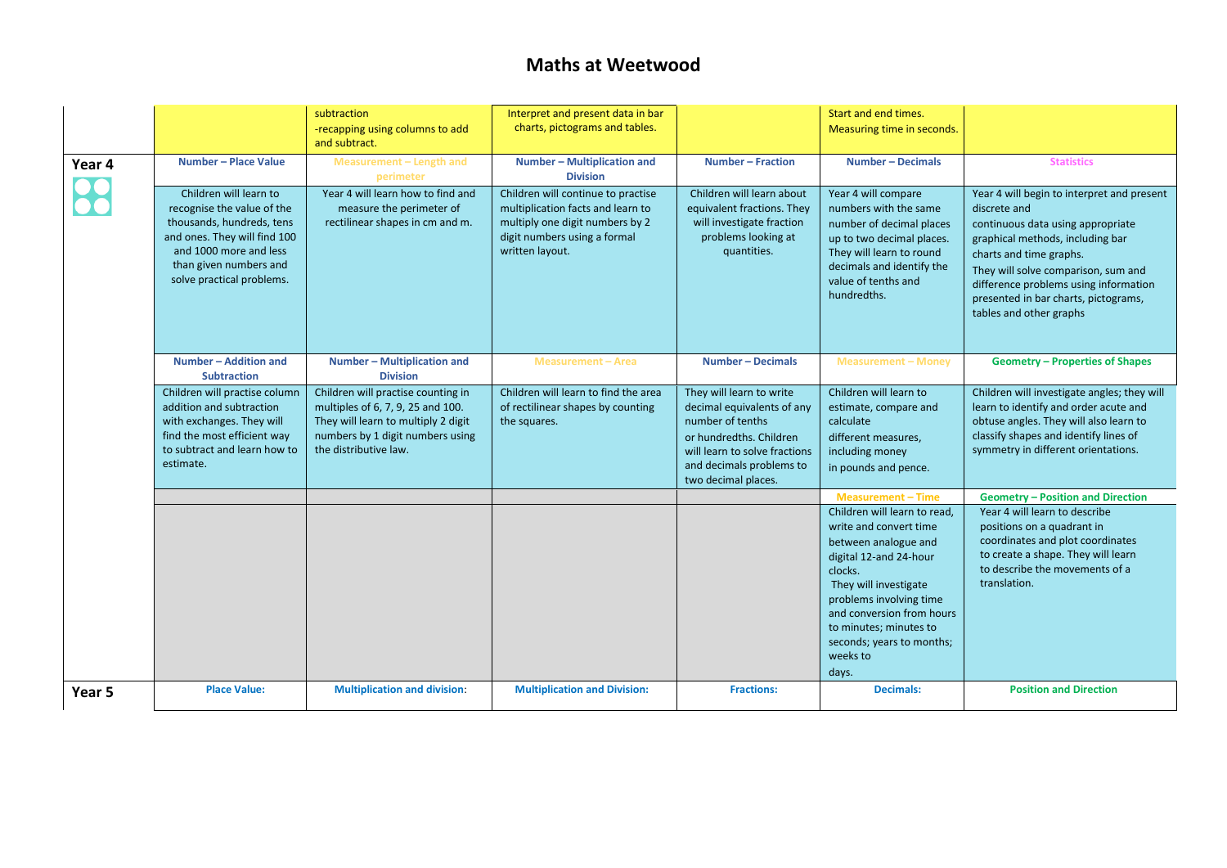|        |                                                                                                                                                                                                    | subtraction<br>-recapping using columns to add<br>and subtract.                                                                                                             | Interpret and present data in bar<br>charts, pictograms and tables.                                                                                           |                                                                                                                                                                                           | Start and end times.<br>Measuring time in seconds.                                                                                                                                                                                                                               |                                                                                                                                                                                                                                                                                                                   |
|--------|----------------------------------------------------------------------------------------------------------------------------------------------------------------------------------------------------|-----------------------------------------------------------------------------------------------------------------------------------------------------------------------------|---------------------------------------------------------------------------------------------------------------------------------------------------------------|-------------------------------------------------------------------------------------------------------------------------------------------------------------------------------------------|----------------------------------------------------------------------------------------------------------------------------------------------------------------------------------------------------------------------------------------------------------------------------------|-------------------------------------------------------------------------------------------------------------------------------------------------------------------------------------------------------------------------------------------------------------------------------------------------------------------|
| Year 4 | Number - Place Value                                                                                                                                                                               | Measurement - Length and<br>perimeter                                                                                                                                       | Number - Multiplication and<br><b>Division</b>                                                                                                                | <b>Number - Fraction</b>                                                                                                                                                                  | <b>Number - Decimals</b>                                                                                                                                                                                                                                                         | <b>Statistics</b>                                                                                                                                                                                                                                                                                                 |
|        | Children will learn to<br>recognise the value of the<br>thousands, hundreds, tens<br>and ones. They will find 100<br>and 1000 more and less<br>than given numbers and<br>solve practical problems. | Year 4 will learn how to find and<br>measure the perimeter of<br>rectilinear shapes in cm and m.                                                                            | Children will continue to practise<br>multiplication facts and learn to<br>multiply one digit numbers by 2<br>digit numbers using a formal<br>written layout. | Children will learn about<br>equivalent fractions. They<br>will investigate fraction<br>problems looking at<br>quantities.                                                                | Year 4 will compare<br>numbers with the same<br>number of decimal places<br>up to two decimal places.<br>They will learn to round<br>decimals and identify the<br>value of tenths and<br>hundredths.                                                                             | Year 4 will begin to interpret and present<br>discrete and<br>continuous data using appropriate<br>graphical methods, including bar<br>charts and time graphs.<br>They will solve comparison, sum and<br>difference problems using information<br>presented in bar charts, pictograms,<br>tables and other graphs |
|        | Number - Addition and<br><b>Subtraction</b>                                                                                                                                                        | Number - Multiplication and<br><b>Division</b>                                                                                                                              | <b>Measurement - Area</b>                                                                                                                                     | <b>Number - Decimals</b>                                                                                                                                                                  | <b>Measurement - Money</b>                                                                                                                                                                                                                                                       | <b>Geometry - Properties of Shapes</b>                                                                                                                                                                                                                                                                            |
|        | Children will practise column<br>addition and subtraction<br>with exchanges. They will<br>find the most efficient way<br>to subtract and learn how to<br>estimate.                                 | Children will practise counting in<br>multiples of 6, 7, 9, 25 and 100.<br>They will learn to multiply 2 digit<br>numbers by 1 digit numbers using<br>the distributive law. | Children will learn to find the area<br>of rectilinear shapes by counting<br>the squares.                                                                     | They will learn to write<br>decimal equivalents of any<br>number of tenths<br>or hundredths. Children<br>will learn to solve fractions<br>and decimals problems to<br>two decimal places. | Children will learn to<br>estimate, compare and<br>calculate<br>different measures,<br>including money<br>in pounds and pence.                                                                                                                                                   | Children will investigate angles; they will<br>learn to identify and order acute and<br>obtuse angles. They will also learn to<br>classify shapes and identify lines of<br>symmetry in different orientations.                                                                                                    |
|        |                                                                                                                                                                                                    |                                                                                                                                                                             |                                                                                                                                                               |                                                                                                                                                                                           | <b>Measurement - Time</b>                                                                                                                                                                                                                                                        | <b>Geometry - Position and Direction</b>                                                                                                                                                                                                                                                                          |
|        |                                                                                                                                                                                                    |                                                                                                                                                                             |                                                                                                                                                               |                                                                                                                                                                                           | Children will learn to read,<br>write and convert time<br>between analogue and<br>digital 12-and 24-hour<br>clocks.<br>They will investigate<br>problems involving time<br>and conversion from hours<br>to minutes; minutes to<br>seconds; years to months;<br>weeks to<br>days. | Year 4 will learn to describe<br>positions on a quadrant in<br>coordinates and plot coordinates<br>to create a shape. They will learn<br>to describe the movements of a<br>translation.                                                                                                                           |
| Year 5 | <b>Place Value:</b>                                                                                                                                                                                | <b>Multiplication and division:</b>                                                                                                                                         | <b>Multiplication and Division:</b>                                                                                                                           | <b>Fractions:</b>                                                                                                                                                                         | <b>Decimals:</b>                                                                                                                                                                                                                                                                 | <b>Position and Direction</b>                                                                                                                                                                                                                                                                                     |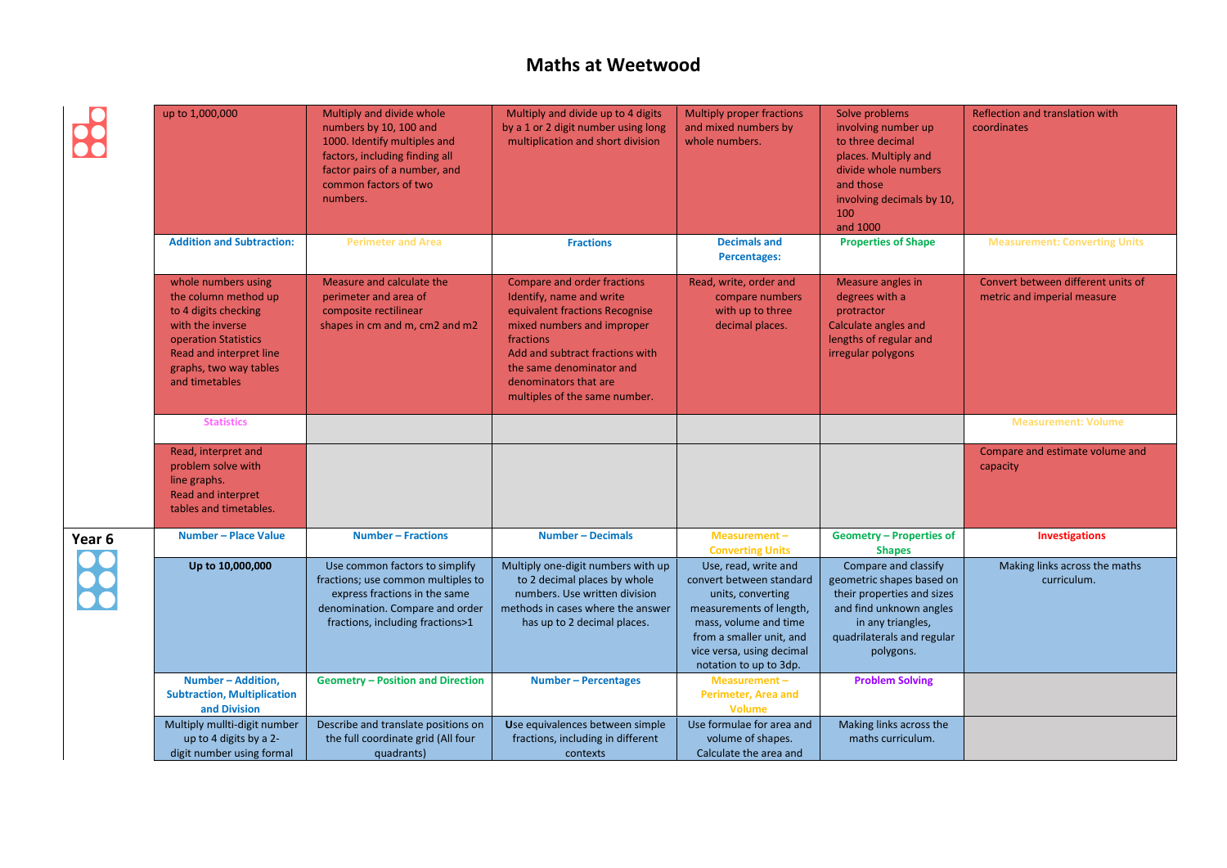8

|        | up to 1,000,000                                                                                                                                                                        | Multiply and divide whole<br>numbers by 10, 100 and<br>1000. Identify multiples and<br>factors, including finding all<br>factor pairs of a number, and<br>common factors of two<br>numbers. | Multiply and divide up to 4 digits<br>by a 1 or 2 digit number using long<br>multiplication and short division                                                                                                                                                | <b>Multiply proper fractions</b><br>and mixed numbers by<br>whole numbers.                                                                                                                                   | Solve problems<br>involving number up<br>to three decimal<br>places. Multiply and<br>divide whole numbers<br>and those<br>involving decimals by 10,<br>100<br>and 1000     | Reflection and translation with<br>coordinates                    |
|--------|----------------------------------------------------------------------------------------------------------------------------------------------------------------------------------------|---------------------------------------------------------------------------------------------------------------------------------------------------------------------------------------------|---------------------------------------------------------------------------------------------------------------------------------------------------------------------------------------------------------------------------------------------------------------|--------------------------------------------------------------------------------------------------------------------------------------------------------------------------------------------------------------|----------------------------------------------------------------------------------------------------------------------------------------------------------------------------|-------------------------------------------------------------------|
|        | <b>Addition and Subtraction:</b>                                                                                                                                                       | <b>Perimeter and Area</b>                                                                                                                                                                   | <b>Fractions</b>                                                                                                                                                                                                                                              | <b>Decimals and</b><br>Percentages:                                                                                                                                                                          | <b>Properties of Shape</b>                                                                                                                                                 | <b>Measurement: Converting Units</b>                              |
|        | whole numbers using<br>the column method up<br>to 4 digits checking<br>with the inverse<br>operation Statistics<br>Read and interpret line<br>graphs, two way tables<br>and timetables | Measure and calculate the<br>perimeter and area of<br>composite rectilinear<br>shapes in cm and m, cm2 and m2                                                                               | Compare and order fractions<br>Identify, name and write<br>equivalent fractions Recognise<br>mixed numbers and improper<br>fractions<br>Add and subtract fractions with<br>the same denominator and<br>denominators that are<br>multiples of the same number. | Read, write, order and<br>compare numbers<br>with up to three<br>decimal places.                                                                                                                             | Measure angles in<br>degrees with a<br>protractor<br>Calculate angles and<br>lengths of regular and<br>irregular polygons                                                  | Convert between different units of<br>metric and imperial measure |
|        | <b>Statistics</b>                                                                                                                                                                      |                                                                                                                                                                                             |                                                                                                                                                                                                                                                               |                                                                                                                                                                                                              |                                                                                                                                                                            | <b>Measurement: Volume</b>                                        |
|        | Read, interpret and<br>problem solve with<br>line graphs.<br><b>Read and interpret</b><br>tables and timetables.                                                                       |                                                                                                                                                                                             |                                                                                                                                                                                                                                                               |                                                                                                                                                                                                              |                                                                                                                                                                            | Compare and estimate volume and<br>capacity                       |
| Year 6 | Number - Place Value                                                                                                                                                                   | <b>Number - Fractions</b>                                                                                                                                                                   | <b>Number - Decimals</b>                                                                                                                                                                                                                                      | Measurement-<br><b>Converting Units</b>                                                                                                                                                                      | <b>Geometry - Properties of</b><br><b>Shapes</b>                                                                                                                           | <b>Investigations</b>                                             |
|        | Up to 10,000,000                                                                                                                                                                       | Use common factors to simplify<br>fractions; use common multiples to<br>express fractions in the same<br>denomination. Compare and order<br>fractions, including fractions>1                | Multiply one-digit numbers with up<br>to 2 decimal places by whole<br>numbers. Use written division<br>methods in cases where the answer<br>has up to 2 decimal places.                                                                                       | Use, read, write and<br>convert between standard<br>units, converting<br>measurements of length,<br>mass, volume and time<br>from a smaller unit, and<br>vice versa, using decimal<br>notation to up to 3dp. | Compare and classify<br>geometric shapes based on<br>their properties and sizes<br>and find unknown angles<br>in any triangles,<br>quadrilaterals and regular<br>polygons. | Making links across the maths<br>curriculum.                      |
|        | Number-Addition,<br><b>Subtraction, Multiplication</b><br>and Division                                                                                                                 | <b>Geometry - Position and Direction</b>                                                                                                                                                    | <b>Number - Percentages</b>                                                                                                                                                                                                                                   | Measurement-<br>Perimeter, Area and<br><b>Volume</b>                                                                                                                                                         | <b>Problem Solving</b>                                                                                                                                                     |                                                                   |
|        | Multiply mullti-digit number<br>up to 4 digits by a 2-<br>digit number using formal                                                                                                    | Describe and translate positions on<br>the full coordinate grid (All four<br>quadrants)                                                                                                     | Use equivalences between simple<br>fractions, including in different<br>contexts                                                                                                                                                                              | Use formulae for area and<br>volume of shapes.<br>Calculate the area and                                                                                                                                     | Making links across the<br>maths curriculum.                                                                                                                               |                                                                   |